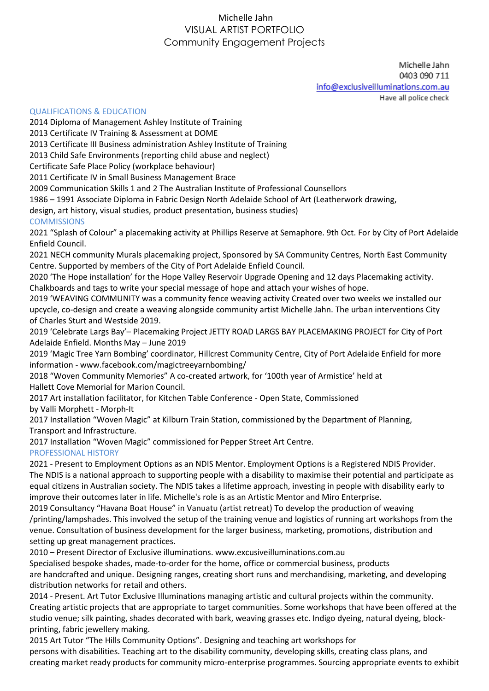## Michelle Jahn VISUAL ARTIST PORTFOLIO Community Engagement Projects

Michelle Jahn 0403 090 711 info@exclusiveilluminations.com.au

Have all police check

## QUALIFICATIONS & EDUCATION

2014 Diploma of Management Ashley Institute of Training

2013 Certificate IV Training & Assessment at DOME

2013 Certificate III Business administration Ashley Institute of Training

2013 Child Safe Environments (reporting child abuse and neglect)

Certificate Safe Place Policy (workplace behaviour)

2011 Certificate IV in Small Business Management Brace

2009 Communication Skills 1 and 2 The Australian Institute of Professional Counsellors

1986 – 1991 Associate Diploma in Fabric Design North Adelaide School of Art (Leatherwork drawing,

design, art history, visual studies, product presentation, business studies)

## **COMMISSIONS**

2021 "Splash of Colour" a placemaking activity at Phillips Reserve at Semaphore. 9th Oct. For by City of Port Adelaide Enfield Council.

2021 NECH community Murals placemaking project, Sponsored by SA Community Centres, North East Community Centre. Supported by members of the City of Port Adelaide Enfield Council.

2020 'The Hope installation' for the Hope Valley Reservoir Upgrade Opening and 12 days Placemaking activity. Chalkboards and tags to write your special message of hope and attach your wishes of hope.

2019 'WEAVING COMMUNITY was a community fence weaving activity Created over two weeks we installed our upcycle, co-design and create a weaving alongside community artist Michelle Jahn. The urban interventions City of Charles Sturt and Westside 2019.

2019 'Celebrate Largs Bay'– Placemaking Project JETTY ROAD LARGS BAY PLACEMAKING PROJECT for City of Port Adelaide Enfield. Months May – June 2019

2019 'Magic Tree Yarn Bombing' coordinator, Hillcrest Community Centre, City of Port Adelaide Enfield for more information - www.facebook.com/magictreeyarnbombing/

2018 "Woven Community Memories" A co-created artwork, for '100th year of Armistice' held at Hallett Cove Memorial for Marion Council.

2017 Art installation facilitator, for Kitchen Table Conference - Open State, Commissioned by Valli Morphett - Morph-It

2017 Installation "Woven Magic" at Kilburn Train Station, commissioned by the Department of Planning,

Transport and Infrastructure.

2017 Installation "Woven Magic" commissioned for Pepper Street Art Centre. PROFESSIONAL HISTORY

2021 - Present to Employment Options as an NDIS Mentor. Employment Options is a Registered NDIS Provider. The NDIS is a national approach to supporting people with a disability to maximise their potential and participate as equal citizens in Australian society. The NDIS takes a lifetime approach, investing in people with disability early to improve their outcomes later in life. Michelle's role is as an Artistic Mentor and Miro Enterprise.

2019 Consultancy "Havana Boat House" in Vanuatu (artist retreat) To develop the production of weaving /printing/lampshades. This involved the setup of the training venue and logistics of running art workshops from the venue. Consultation of business development for the larger business, marketing, promotions, distribution and setting up great management practices.

2010 – Present Director of Exclusive illuminations. www.excusiveilluminations.com.au

Specialised bespoke shades, made-to-order for the home, office or commercial business, products are handcrafted and unique. Designing ranges, creating short runs and merchandising, marketing, and developing distribution networks for retail and others.

2014 - Present. Art Tutor Exclusive Illuminations managing artistic and cultural projects within the community. Creating artistic projects that are appropriate to target communities. Some workshops that have been offered at the studio venue; silk painting, shades decorated with bark, weaving grasses etc. Indigo dyeing, natural dyeing, blockprinting, fabric jewellery making.

2015 Art Tutor "The Hills Community Options". Designing and teaching art workshops for persons with disabilities. Teaching art to the disability community, developing skills, creating class plans, and creating market ready products for community micro-enterprise programmes. Sourcing appropriate events to exhibit